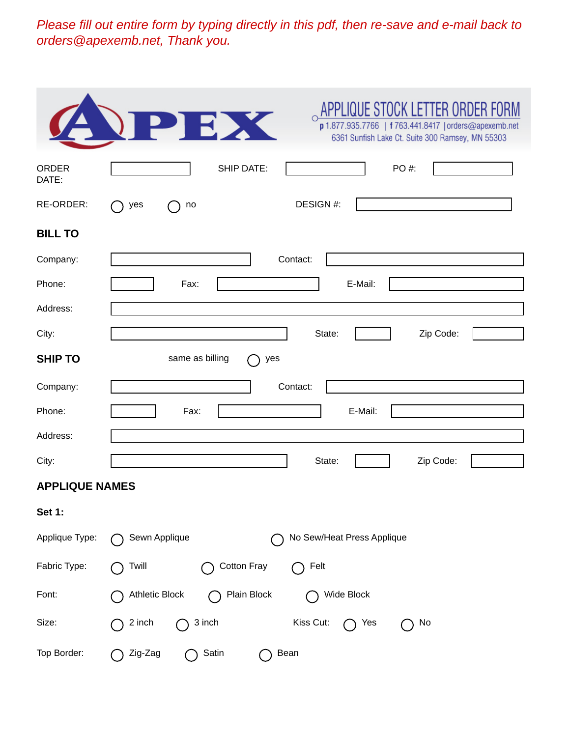*Please fill out entire form by typing directly in this pdf, then re-save and e-mail back to orders@apexemb.net, Thank you.* 

|                       | APPLIQUE STOCK LETTER ORDER FORM<br>PEX<br>p 1.877.935.7766   f 763.441.8417   orders@apexemb.net<br>6361 Sunfish Lake Ct. Suite 300 Ramsey, MN 55303 |
|-----------------------|-------------------------------------------------------------------------------------------------------------------------------------------------------|
| ORDER<br>DATE:        | <b>SHIP DATE:</b><br>PO #:                                                                                                                            |
| RE-ORDER:             | DESIGN #:<br>yes<br>no                                                                                                                                |
| <b>BILL TO</b>        |                                                                                                                                                       |
| Company:              | Contact:                                                                                                                                              |
| Phone:                | E-Mail:<br>Fax:                                                                                                                                       |
| Address:              |                                                                                                                                                       |
| City:                 | State:<br>Zip Code:                                                                                                                                   |
| <b>SHIP TO</b>        | same as billing<br>yes                                                                                                                                |
| Company:              | Contact:                                                                                                                                              |
| Phone:                | E-Mail:<br>Fax:                                                                                                                                       |
| Address:              |                                                                                                                                                       |
| City:                 | Zip Code:<br>State:                                                                                                                                   |
| <b>APPLIQUE NAMES</b> |                                                                                                                                                       |
| <b>Set 1:</b>         |                                                                                                                                                       |
| Applique Type:        | No Sew/Heat Press Applique<br>Sewn Applique                                                                                                           |
| Fabric Type:          | <b>Cotton Fray</b><br>Twill<br>Felt                                                                                                                   |
| Font:                 | <b>Athletic Block</b><br>Plain Block<br>Wide Block                                                                                                    |
| Size:                 | 3 inch<br>Kiss Cut:<br>2 inch<br>No<br>Yes                                                                                                            |
| Top Border:           | Satin<br>Zig-Zag<br>Bean                                                                                                                              |